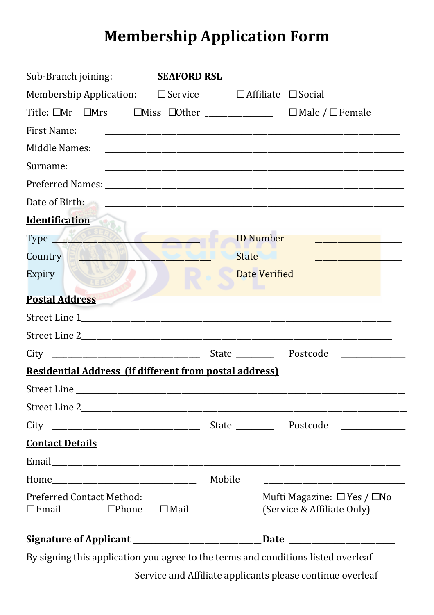## **Membership Application Form**

| Sub-Branch joining:                                                                          | <b>SEAFORD RSL</b>                                                                                                             |
|----------------------------------------------------------------------------------------------|--------------------------------------------------------------------------------------------------------------------------------|
|                                                                                              | Membership Application: $\square$ Service $\square$ Affiliate $\square$ Social                                                 |
| Title: $\square Mr \square Mrs \square Miss \square Other \xlongrightarrow \xlongrightarrow$ | $\Box$ Male / $\Box$ Female                                                                                                    |
| <b>First Name:</b>                                                                           |                                                                                                                                |
| Middle Names:                                                                                |                                                                                                                                |
| Surname:                                                                                     |                                                                                                                                |
|                                                                                              |                                                                                                                                |
| Date of Birth:                                                                               |                                                                                                                                |
| <b>Identification</b>                                                                        |                                                                                                                                |
| Type 1.2 2000                                                                                | <b>ID Number</b>                                                                                                               |
| Country                                                                                      | <b>State</b><br><u> 1989 - Johann Barn, mars et al. (b. 1918)</u>                                                              |
| Expiry                                                                                       | <b>Date Verified</b><br>the control of the control of the con-                                                                 |
| <b>Postal Address</b>                                                                        |                                                                                                                                |
|                                                                                              |                                                                                                                                |
|                                                                                              |                                                                                                                                |
| City                                                                                         | State Postcode                                                                                                                 |
| <b>Residential Address (if different from postal address)</b>                                |                                                                                                                                |
|                                                                                              |                                                                                                                                |
|                                                                                              |                                                                                                                                |
|                                                                                              | <u> 1980 - Jan Barbara Barat, prima prima prima prima prima prima prima prima prima prima prima prima prima prim</u>           |
| <b>Contact Details</b>                                                                       |                                                                                                                                |
|                                                                                              |                                                                                                                                |
|                                                                                              | Mobile<br><u> 1989 - Johann Stein, marwolaethau a bhann an t-Amhair an t-Amhair an t-Amhair an t-Amhair an t-Amhair an t-A</u> |
| <b>Preferred Contact Method:</b><br>$\Box$ Phone<br>$\Box$ Email<br>$\Box$ Mail              | Mufti Magazine: $\Box$ Yes / $\Box$ No<br>(Service & Affiliate Only)                                                           |
|                                                                                              | Signature of Applicant ___________________________________Date __________________                                              |
|                                                                                              | By signing this application you agree to the terms and conditions listed overleaf<br>$\mathbf{r} = \mathbf{r} + \mathbf{r}$    |

Service and Affiliate applicants please continue overleaf